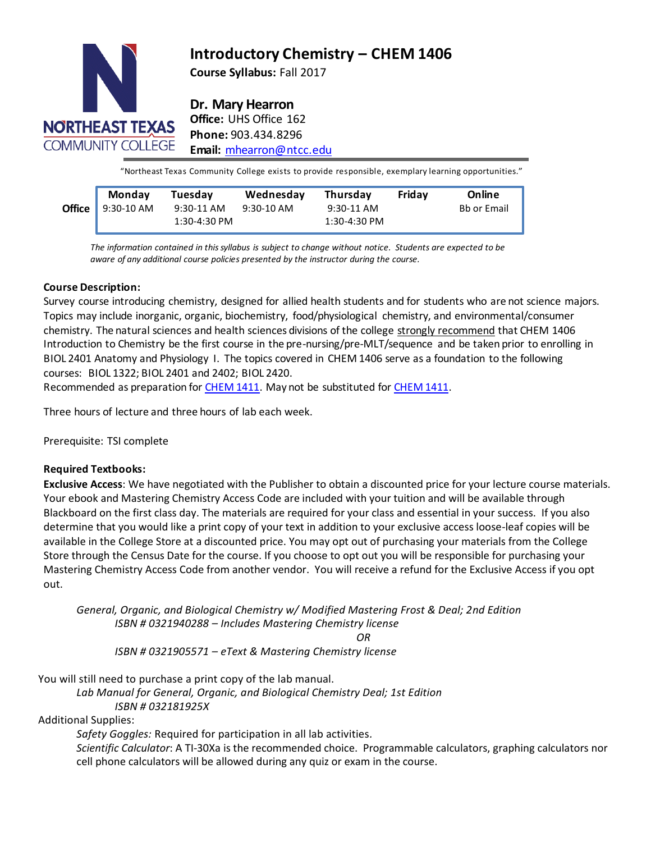

# **Introductory Chemistry – CHEM 1406**

**Course Syllabus:** Fall 2017

**Dr. Mary Hearron**

**Office:** UHS Office 162 **Phone:** 903.434.8296 **Email:** [mhearron@ntcc.edu](mailto:mhearron@ntcc.edu)

"Northeast Texas Community College exists to provide responsible, exemplary learning opportunities."

| Monday                    | Tuesday                    | Wednesday  | Thursday                     | Fridav | Online             |
|---------------------------|----------------------------|------------|------------------------------|--------|--------------------|
| Office $\vert$ 9:30-10 AM | 9:30-11 AM<br>1:30-4:30 PM | 9:30-10 AM | 9:30-11 AM<br>$1:30-4:30$ PM |        | <b>Bb or Email</b> |
|                           |                            |            |                              |        |                    |

**Email or Bb** *aware of any additional course policies presented by the instructor during the course. The information contained in thissyllabus is subject to change without notice. Students are expected to be*

# **Course Description:**

Survey course introducing chemistry, designed for allied health students and for students who are not science majors. Topics may include inorganic, organic, biochemistry, food/physiological chemistry, and environmental/consumer chemistry. The natural sciences and health sciences divisions of the college strongly recommend that CHEM 1406 Introduction to Chemistry be the first course in the pre-nursing/pre-MLT/sequence and be taken prior to enrolling in BIOL 2401 Anatomy and Physiology I. The topics covered in CHEM 1406 serve as a foundation to the following courses: BIOL 1322; BIOL 2401 and 2402; BIOL 2420.

Recommended as preparation for [CHEM](http://catalog.ntcc.edu/content.php?filter%5B27%5D=CHEM&filter%5B29%5D&filter%5Bcourse_type%5D=-1&filter%5Bkeyword%5D&filter%5B32%5D=1&filter%5Bcpage%5D=1&cur_cat_oid=3&expand&navoid=752&search_database=Filter&tt3371) 1411. May not be substituted for [CHEM](http://catalog.ntcc.edu/content.php?filter%5B27%5D=CHEM&filter%5B29%5D&filter%5Bcourse_type%5D=-1&filter%5Bkeyword%5D&filter%5B32%5D=1&filter%5Bcpage%5D=1&cur_cat_oid=3&expand&navoid=752&search_database=Filter&tt5818) 1411.

Three hours of lecture and three hours of lab each week.

Prerequisite: TSI complete

# **Required Textbooks:**

**Exclusive Access**: We have negotiated with the Publisher to obtain a discounted price for your lecture course materials. Your ebook and Mastering Chemistry Access Code are included with your tuition and will be available through Blackboard on the first class day. The materials are required for your class and essential in your success. If you also determine that you would like a print copy of your text in addition to your exclusive access loose-leaf copies will be available in the College Store at a discounted price. You may opt out of purchasing your materials from the College Store through the Census Date for the course. If you choose to opt out you will be responsible for purchasing your Mastering Chemistry Access Code from another vendor. You will receive a refund for the Exclusive Access if you opt out.

*General, Organic, and Biological Chemistry w/ Modified Mastering Frost & Deal; 2nd Edition ISBN # 0321940288 – Includes Mastering Chemistry license OR*

*ISBN # 0321905571 – eText & Mastering Chemistry license*

You will still need to purchase a print copy of the lab manual.

*Lab Manual for General, Organic, and Biological Chemistry Deal; 1st Edition ISBN # 032181925X*

Additional Supplies:

*Safety Goggles:* Required for participation in all lab activities*. Scientific Calculator*: A TI-30Xa is the recommended choice. Programmable calculators, graphing calculators nor cell phone calculators will be allowed during any quiz or exam in the course.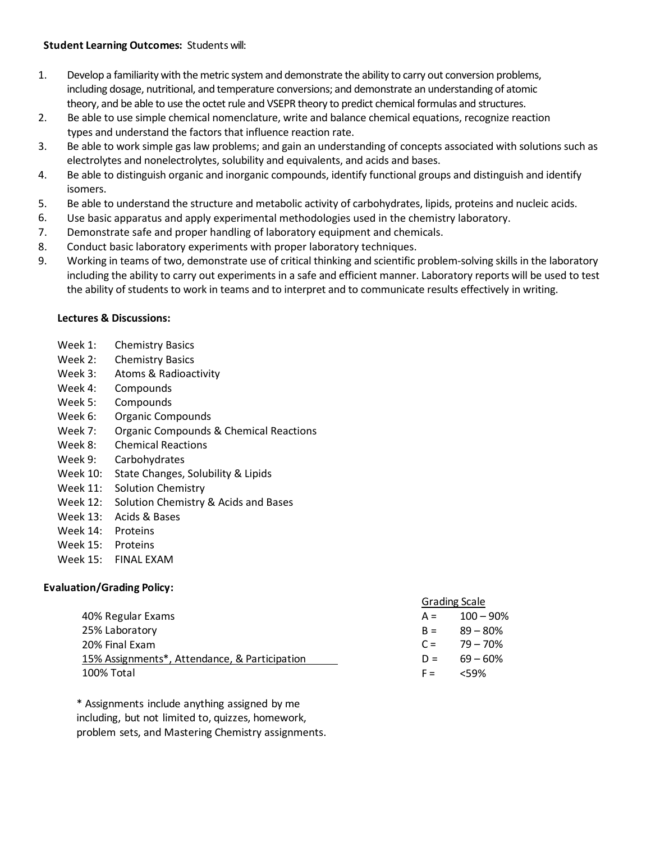# **Student Learning Outcomes:** Students will:

- 1. Develop a familiarity with the metric system and demonstrate the ability to carry out conversion problems, including dosage, nutritional, and temperature conversions; and demonstrate an understanding of atomic theory, and be able to use the octet rule and VSEPR theory to predict chemical formulas and structures.
- 2. Be able to use simple chemical nomenclature, write and balance chemical equations, recognize reaction types and understand the factors that influence reaction rate.
- 3. Be able to work simple gas law problems; and gain an understanding of concepts associated with solutions such as electrolytes and nonelectrolytes, solubility and equivalents, and acids and bases.
- 4. Be able to distinguish organic and inorganic compounds, identify functional groups and distinguish and identify isomers.
- 5. Be able to understand the structure and metabolic activity of carbohydrates, lipids, proteins and nucleic acids.
- 6. Use basic apparatus and apply experimental methodologies used in the chemistry laboratory.
- 7. Demonstrate safe and proper handling of laboratory equipment and chemicals.
- 8. Conduct basic laboratory experiments with proper laboratory techniques.
- 9. Working in teams of two, demonstrate use of critical thinking and scientific problem-solving skills in the laboratory including the ability to carry out experiments in a safe and efficient manner. Laboratory reports will be used to test the ability of students to work in teams and to interpret and to communicate results effectively in writing.

# **Lectures & Discussions:**

- Week 1: Chemistry Basics
- Week 2: Chemistry Basics
- Week 3: Atoms & Radioactivity
- Week 4: Compounds
- Week 5: Compounds
- Week 6: Organic Compounds
- Week 7: Organic Compounds & Chemical Reactions
- Week 8: Chemical Reactions
- Week 9: Carbohydrates
- Week 10: State Changes, Solubility & Lipids
- Week 11: Solution Chemistry
- Week 12: Solution Chemistry & Acids and Bases
- Week 13: Acids & Bases
- Week 14: Proteins
- Week 15: Proteins
- Week 15: FINAL EXAM

# **Evaluation/Grading Policy:**

|                                               | <b>Grading Scale</b> |                 |
|-----------------------------------------------|----------------------|-----------------|
| 40% Regular Exams                             | $A =$                | $100 - 90\%$    |
| 25% Laboratory                                |                      | $B = 89 - 80\%$ |
| 20% Final Exam                                |                      | $C = 79 - 70\%$ |
| 15% Assignments*, Attendance, & Participation |                      | $D = 69 - 60\%$ |
| 100% Total                                    | $F =$                | $<$ 59%         |

\* Assignments include anything assigned by me including, but not limited to, quizzes, homework, problem sets, and Mastering Chemistry assignments.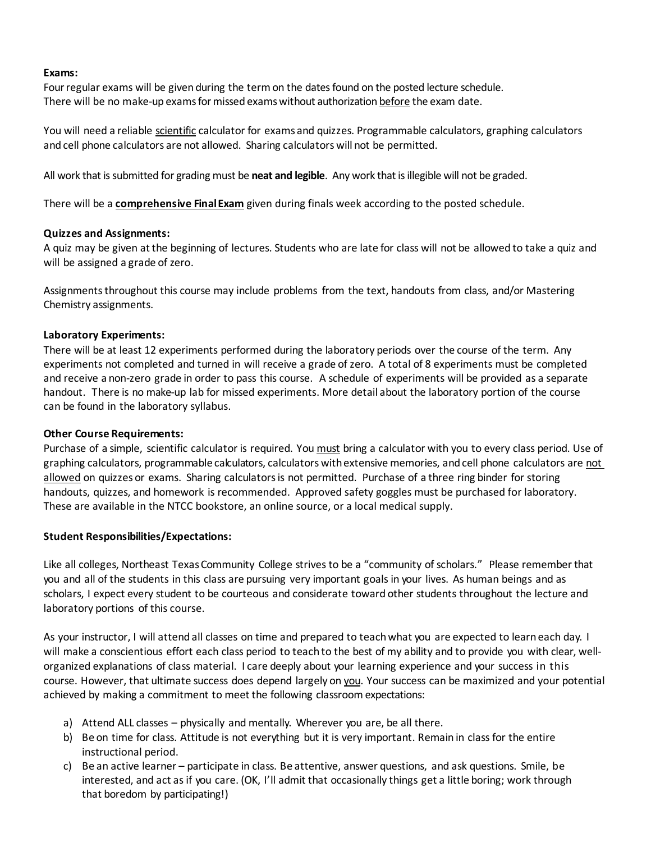# **Exams:**

Four regular exams will be given during the term on the dates found on the posted lecture schedule. There will be no make-up exams for missed exams without authorization before the exam date.

You will need a reliable scientific calculator for exams and quizzes. Programmable calculators, graphing calculators and cell phone calculators are not allowed. Sharing calculators will not be permitted.

All work that is submitted for grading must be **neat and legible**. Any work that is illegible will not be graded.

There will be a **comprehensive FinalExam** given during finals week according to the posted schedule.

# **Quizzes and Assignments:**

A quiz may be given at the beginning of lectures. Students who are late for class will not be allowed to take a quiz and will be assigned a grade of zero.

Assignments throughout this course may include problems from the text, handouts from class, and/or Mastering Chemistry assignments.

# **Laboratory Experiments:**

There will be at least 12 experiments performed during the laboratory periods over the course of the term. Any experiments not completed and turned in will receive a grade of zero. A total of 8 experiments must be completed and receive a non-zero grade in order to pass this course. A schedule of experiments will be provided as a separate handout. There is no make-up lab for missed experiments. More detail about the laboratory portion of the course can be found in the laboratory syllabus.

# **Other Course Requirements:**

Purchase of a simple, scientific calculator is required. You must bring a calculator with you to every class period. Use of graphing calculators, programmable calculators, calculators withextensive memories, and cell phone calculators are not allowed on quizzes or exams. Sharing calculators is not permitted. Purchase of a three ring binder for storing handouts, quizzes, and homework is recommended. Approved safety goggles must be purchased for laboratory. These are available in the NTCC bookstore, an online source, or a local medical supply.

# **Student Responsibilities/Expectations:**

Like all colleges, Northeast TexasCommunity College strives to be a "community of scholars." Please remember that you and all of the students in this class are pursuing very important goals in your lives. As human beings and as scholars, I expect every student to be courteous and considerate toward other students throughout the lecture and laboratory portions of this course.

As your instructor, I will attend all classes on time and prepared to teachwhat you are expected to learn each day. I will make a conscientious effort each class period to teach to the best of my ability and to provide you with clear, wellorganized explanations of class material. I care deeply about your learning experience and your success in this course. However, that ultimate success does depend largely on you. Your success can be maximized and your potential achieved by making a commitment to meet the following classroom expectations:

- a) Attend ALL classes physically and mentally. Wherever you are, be all there.
- b) Be on time for class. Attitude is not everything but it is very important. Remain in class for the entire instructional period.
- c) Be an active learner participate in class. Be attentive, answer questions, and ask questions. Smile, be interested, and act as if you care. (OK, I'll admit that occasionally things get a little boring; work through that boredom by participating!)